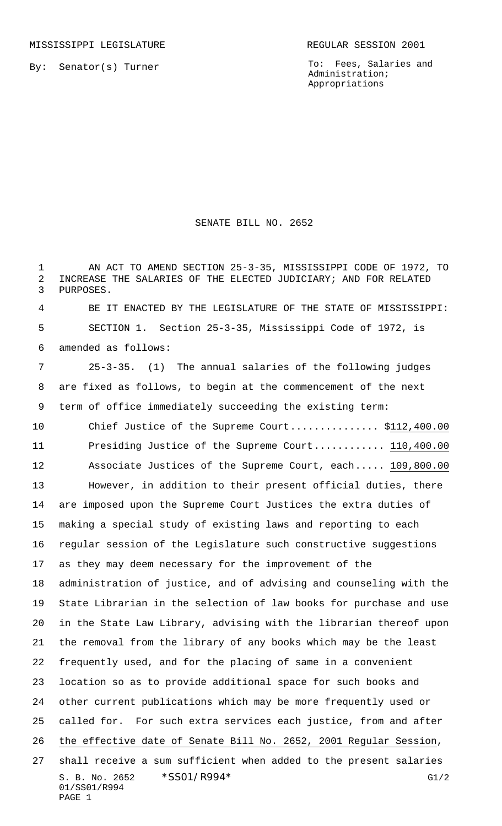By: Senator(s) Turner

To: Fees, Salaries and Administration; Appropriations

## SENATE BILL NO. 2652

 AN ACT TO AMEND SECTION 25-3-35, MISSISSIPPI CODE OF 1972, TO INCREASE THE SALARIES OF THE ELECTED JUDICIARY; AND FOR RELATED PURPOSES.

 BE IT ENACTED BY THE LEGISLATURE OF THE STATE OF MISSISSIPPI: SECTION 1. Section 25-3-35, Mississippi Code of 1972, is amended as follows:

 25-3-35. (1) The annual salaries of the following judges are fixed as follows, to begin at the commencement of the next term of office immediately succeeding the existing term:

S. B. No. 2652 \* SSO1/R994\* G1/2 10 Chief Justice of the Supreme Court..................\$112,400.00 Presiding Justice of the Supreme Court............ 110,400.00 Associate Justices of the Supreme Court, each..... 109,800.00 However, in addition to their present official duties, there are imposed upon the Supreme Court Justices the extra duties of making a special study of existing laws and reporting to each regular session of the Legislature such constructive suggestions as they may deem necessary for the improvement of the administration of justice, and of advising and counseling with the State Librarian in the selection of law books for purchase and use in the State Law Library, advising with the librarian thereof upon the removal from the library of any books which may be the least frequently used, and for the placing of same in a convenient location so as to provide additional space for such books and other current publications which may be more frequently used or called for. For such extra services each justice, from and after the effective date of Senate Bill No. 2652, 2001 Regular Session, shall receive a sum sufficient when added to the present salaries

01/SS01/R994 PAGE 1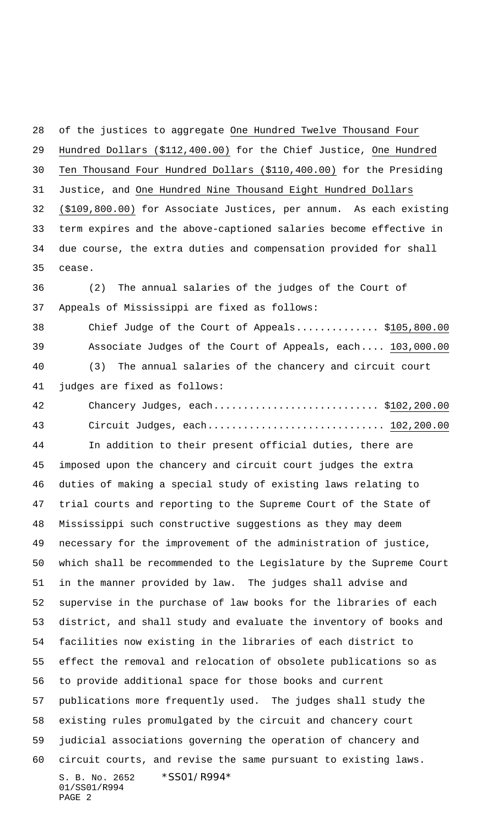S. B. No. 2652 \*SS01/R994\* 01/SS01/R994 PAGE 2 of the justices to aggregate One Hundred Twelve Thousand Four Hundred Dollars (\$112,400.00) for the Chief Justice, One Hundred Ten Thousand Four Hundred Dollars (\$110,400.00) for the Presiding Justice, and One Hundred Nine Thousand Eight Hundred Dollars (\$109,800.00) for Associate Justices, per annum. As each existing term expires and the above-captioned salaries become effective in due course, the extra duties and compensation provided for shall cease. (2) The annual salaries of the judges of the Court of Appeals of Mississippi are fixed as follows: Chief Judge of the Court of Appeals.............. \$105,800.00 Associate Judges of the Court of Appeals, each.... 103,000.00 (3) The annual salaries of the chancery and circuit court judges are fixed as follows: Chancery Judges, each............................ \$102,200.00 Circuit Judges, each.............................. 102,200.00 In addition to their present official duties, there are imposed upon the chancery and circuit court judges the extra duties of making a special study of existing laws relating to trial courts and reporting to the Supreme Court of the State of Mississippi such constructive suggestions as they may deem necessary for the improvement of the administration of justice, which shall be recommended to the Legislature by the Supreme Court in the manner provided by law. The judges shall advise and supervise in the purchase of law books for the libraries of each district, and shall study and evaluate the inventory of books and facilities now existing in the libraries of each district to effect the removal and relocation of obsolete publications so as to provide additional space for those books and current publications more frequently used. The judges shall study the existing rules promulgated by the circuit and chancery court judicial associations governing the operation of chancery and circuit courts, and revise the same pursuant to existing laws.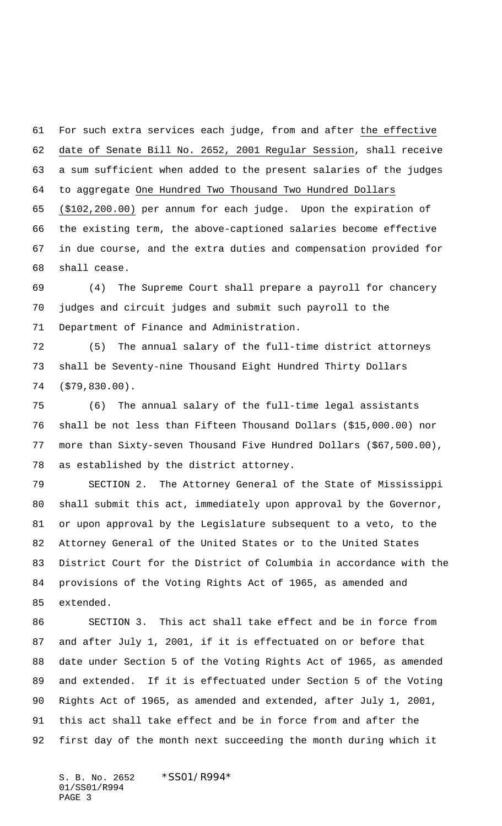For such extra services each judge, from and after the effective date of Senate Bill No. 2652, 2001 Regular Session, shall receive a sum sufficient when added to the present salaries of the judges to aggregate One Hundred Two Thousand Two Hundred Dollars (\$102,200.00) per annum for each judge. Upon the expiration of

 the existing term, the above-captioned salaries become effective in due course, and the extra duties and compensation provided for shall cease.

 (4) The Supreme Court shall prepare a payroll for chancery judges and circuit judges and submit such payroll to the Department of Finance and Administration.

 (5) The annual salary of the full-time district attorneys shall be Seventy-nine Thousand Eight Hundred Thirty Dollars (\$79,830.00).

 (6) The annual salary of the full-time legal assistants shall be not less than Fifteen Thousand Dollars (\$15,000.00) nor more than Sixty-seven Thousand Five Hundred Dollars (\$67,500.00), as established by the district attorney.

 SECTION 2. The Attorney General of the State of Mississippi shall submit this act, immediately upon approval by the Governor, or upon approval by the Legislature subsequent to a veto, to the Attorney General of the United States or to the United States District Court for the District of Columbia in accordance with the provisions of the Voting Rights Act of 1965, as amended and extended.

 SECTION 3. This act shall take effect and be in force from and after July 1, 2001, if it is effectuated on or before that date under Section 5 of the Voting Rights Act of 1965, as amended and extended. If it is effectuated under Section 5 of the Voting Rights Act of 1965, as amended and extended, after July 1, 2001, this act shall take effect and be in force from and after the first day of the month next succeeding the month during which it

S. B. No. 2652 \*SS01/R994\* 01/SS01/R994 PAGE 3